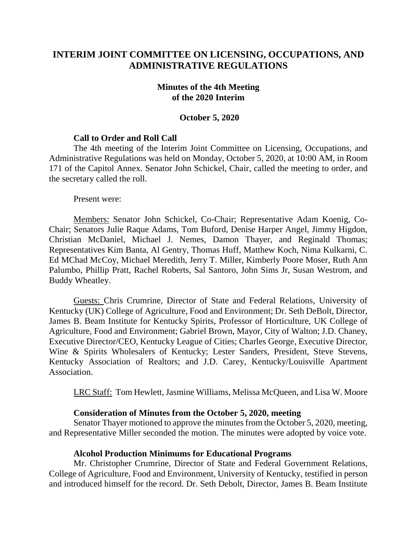# **INTERIM JOINT COMMITTEE ON LICENSING, OCCUPATIONS, AND ADMINISTRATIVE REGULATIONS**

#### **Minutes of the 4th Meeting of the 2020 Interim**

#### **October 5, 2020**

### **Call to Order and Roll Call**

The 4th meeting of the Interim Joint Committee on Licensing, Occupations, and Administrative Regulations was held on Monday, October 5, 2020, at 10:00 AM, in Room 171 of the Capitol Annex. Senator John Schickel, Chair, called the meeting to order, and the secretary called the roll.

Present were:

Members: Senator John Schickel, Co-Chair; Representative Adam Koenig, Co-Chair; Senators Julie Raque Adams, Tom Buford, Denise Harper Angel, Jimmy Higdon, Christian McDaniel, Michael J. Nemes, Damon Thayer, and Reginald Thomas; Representatives Kim Banta, Al Gentry, Thomas Huff, Matthew Koch, Nima Kulkarni, C. Ed MChad McCoy, Michael Meredith, Jerry T. Miller, Kimberly Poore Moser, Ruth Ann Palumbo, Phillip Pratt, Rachel Roberts, Sal Santoro, John Sims Jr, Susan Westrom, and Buddy Wheatley.

Guests: Chris Crumrine, Director of State and Federal Relations, University of Kentucky (UK) College of Agriculture, Food and Environment; Dr. Seth DeBolt, Director, James B. Beam Institute for Kentucky Spirits, Professor of Horticulture, UK College of Agriculture, Food and Environment; Gabriel Brown, Mayor, City of Walton; J.D. Chaney, Executive Director/CEO, Kentucky League of Cities; Charles George, Executive Director, Wine & Spirits Wholesalers of Kentucky; Lester Sanders, President, Steve Stevens, Kentucky Association of Realtors; and J.D. Carey, Kentucky/Louisville Apartment Association.

LRC Staff: Tom Hewlett, Jasmine Williams, Melissa McQueen, and Lisa W. Moore

#### **Consideration of Minutes from the October 5, 2020, meeting**

Senator Thayer motioned to approve the minutes from the October 5, 2020, meeting, and Representative Miller seconded the motion. The minutes were adopted by voice vote.

#### **Alcohol Production Minimums for Educational Programs**

Mr. Christopher Crumrine, Director of State and Federal Government Relations, College of Agriculture, Food and Environment, University of Kentucky, testified in person and introduced himself for the record. Dr. Seth Debolt, Director, James B. Beam Institute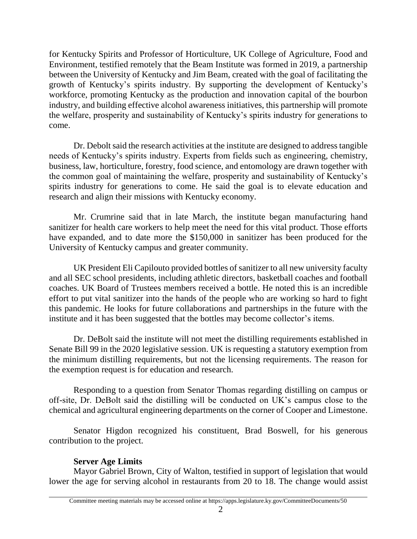for Kentucky Spirits and Professor of Horticulture, UK College of Agriculture, Food and Environment, testified remotely that the Beam Institute was formed in 2019, a partnership between the University of Kentucky and Jim Beam, created with the goal of facilitating the growth of Kentucky's spirits industry. By supporting the development of Kentucky's workforce, promoting Kentucky as the production and innovation capital of the bourbon industry, and building effective alcohol awareness initiatives, this partnership will promote the welfare, prosperity and sustainability of Kentucky's spirits industry for generations to come.

Dr. Debolt said the research activities at the institute are designed to address tangible needs of Kentucky's spirits industry. Experts from fields such as engineering, chemistry, business, law, horticulture, forestry, food science, and entomology are drawn together with the common goal of maintaining the welfare, prosperity and sustainability of Kentucky's spirits industry for generations to come. He said the goal is to elevate education and research and align their missions with Kentucky economy.

Mr. Crumrine said that in late March, the institute began manufacturing hand sanitizer for health care workers to help meet the need for this vital product. Those efforts have expanded, and to date more the \$150,000 in sanitizer has been produced for the University of Kentucky campus and greater community.

UK President Eli Capilouto provided bottles of sanitizer to all new university faculty and all SEC school presidents, including athletic directors, basketball coaches and football coaches. UK Board of Trustees members received a bottle. He noted this is an incredible effort to put vital sanitizer into the hands of the people who are working so hard to fight this pandemic. He looks for future collaborations and partnerships in the future with the institute and it has been suggested that the bottles may become collector's items.

Dr. DeBolt said the institute will not meet the distilling requirements established in Senate Bill 99 in the 2020 legislative session. UK is requesting a statutory exemption from the minimum distilling requirements, but not the licensing requirements. The reason for the exemption request is for education and research.

Responding to a question from Senator Thomas regarding distilling on campus or off-site, Dr. DeBolt said the distilling will be conducted on UK's campus close to the chemical and agricultural engineering departments on the corner of Cooper and Limestone.

Senator Higdon recognized his constituent, Brad Boswell, for his generous contribution to the project.

# **Server Age Limits**

Mayor Gabriel Brown, City of Walton, testified in support of legislation that would lower the age for serving alcohol in restaurants from 20 to 18. The change would assist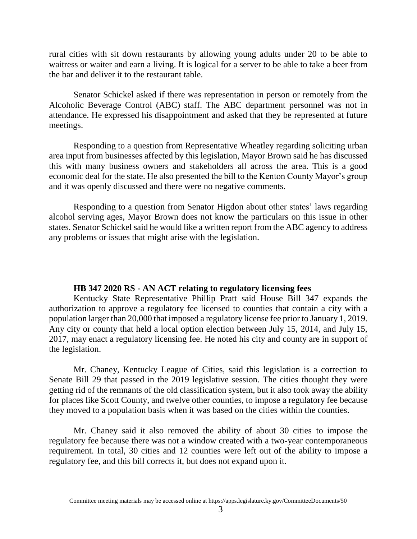rural cities with sit down restaurants by allowing young adults under 20 to be able to waitress or waiter and earn a living. It is logical for a server to be able to take a beer from the bar and deliver it to the restaurant table.

Senator Schickel asked if there was representation in person or remotely from the Alcoholic Beverage Control (ABC) staff. The ABC department personnel was not in attendance. He expressed his disappointment and asked that they be represented at future meetings.

Responding to a question from Representative Wheatley regarding soliciting urban area input from businesses affected by this legislation, Mayor Brown said he has discussed this with many business owners and stakeholders all across the area. This is a good economic deal for the state. He also presented the bill to the Kenton County Mayor's group and it was openly discussed and there were no negative comments.

Responding to a question from Senator Higdon about other states' laws regarding alcohol serving ages, Mayor Brown does not know the particulars on this issue in other states. Senator Schickel said he would like a written report from the ABC agency to address any problems or issues that might arise with the legislation.

## **HB 347 2020 RS - AN ACT relating to regulatory licensing fees**

Kentucky State Representative Phillip Pratt said House Bill 347 expands the authorization to approve a regulatory fee licensed to counties that contain a city with a population larger than 20,000 that imposed a regulatory license fee prior to January 1, 2019. Any city or county that held a local option election between July 15, 2014, and July 15, 2017, may enact a regulatory licensing fee. He noted his city and county are in support of the legislation.

Mr. Chaney, Kentucky League of Cities, said this legislation is a correction to Senate Bill 29 that passed in the 2019 legislative session. The cities thought they were getting rid of the remnants of the old classification system, but it also took away the ability for places like Scott County, and twelve other counties, to impose a regulatory fee because they moved to a population basis when it was based on the cities within the counties.

Mr. Chaney said it also removed the ability of about 30 cities to impose the regulatory fee because there was not a window created with a two-year contemporaneous requirement. In total, 30 cities and 12 counties were left out of the ability to impose a regulatory fee, and this bill corrects it, but does not expand upon it.

Committee meeting materials may be accessed online at https://apps.legislature.ky.gov/CommitteeDocuments/50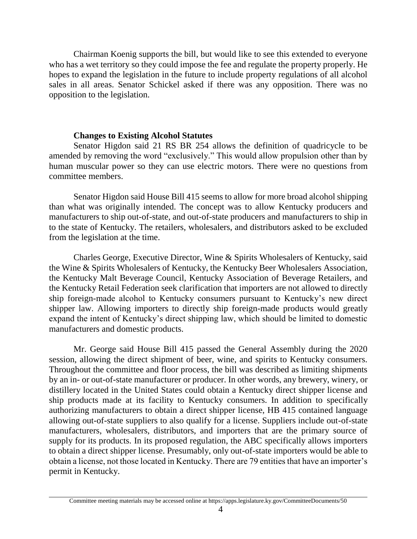Chairman Koenig supports the bill, but would like to see this extended to everyone who has a wet territory so they could impose the fee and regulate the property properly. He hopes to expand the legislation in the future to include property regulations of all alcohol sales in all areas. Senator Schickel asked if there was any opposition. There was no opposition to the legislation.

#### **Changes to Existing Alcohol Statutes**

Senator Higdon said 21 RS BR 254 allows the definition of quadricycle to be amended by removing the word "exclusively." This would allow propulsion other than by human muscular power so they can use electric motors. There were no questions from committee members.

Senator Higdon said House Bill 415 seems to allow for more broad alcohol shipping than what was originally intended. The concept was to allow Kentucky producers and manufacturers to ship out-of-state, and out-of-state producers and manufacturers to ship in to the state of Kentucky. The retailers, wholesalers, and distributors asked to be excluded from the legislation at the time.

Charles George, Executive Director, Wine & Spirits Wholesalers of Kentucky, said the Wine & Spirits Wholesalers of Kentucky, the Kentucky Beer Wholesalers Association, the Kentucky Malt Beverage Council, Kentucky Association of Beverage Retailers, and the Kentucky Retail Federation seek clarification that importers are not allowed to directly ship foreign-made alcohol to Kentucky consumers pursuant to Kentucky's new direct shipper law. Allowing importers to directly ship foreign-made products would greatly expand the intent of Kentucky's direct shipping law, which should be limited to domestic manufacturers and domestic products.

Mr. George said House Bill 415 passed the General Assembly during the 2020 session, allowing the direct shipment of beer, wine, and spirits to Kentucky consumers. Throughout the committee and floor process, the bill was described as limiting shipments by an in- or out-of-state manufacturer or producer. In other words, any brewery, winery, or distillery located in the United States could obtain a Kentucky direct shipper license and ship products made at its facility to Kentucky consumers. In addition to specifically authorizing manufacturers to obtain a direct shipper license, HB 415 contained language allowing out-of-state suppliers to also qualify for a license. Suppliers include out-of-state manufacturers, wholesalers, distributors, and importers that are the primary source of supply for its products. In its proposed regulation, the ABC specifically allows importers to obtain a direct shipper license. Presumably, only out-of-state importers would be able to obtain a license, not those located in Kentucky. There are 79 entities that have an importer's permit in Kentucky.

Committee meeting materials may be accessed online at https://apps.legislature.ky.gov/CommitteeDocuments/50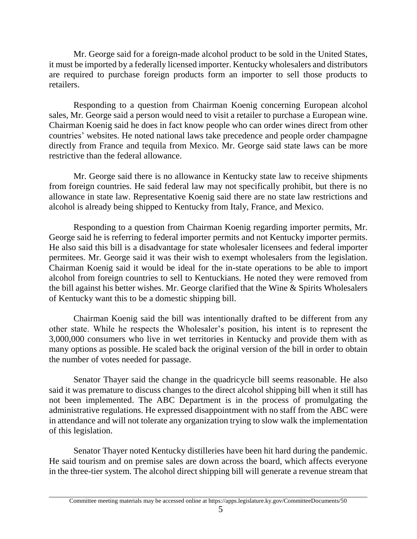Mr. George said for a foreign-made alcohol product to be sold in the United States, it must be imported by a federally licensed importer. Kentucky wholesalers and distributors are required to purchase foreign products form an importer to sell those products to retailers.

Responding to a question from Chairman Koenig concerning European alcohol sales, Mr. George said a person would need to visit a retailer to purchase a European wine. Chairman Koenig said he does in fact know people who can order wines direct from other countries' websites. He noted national laws take precedence and people order champagne directly from France and tequila from Mexico. Mr. George said state laws can be more restrictive than the federal allowance.

Mr. George said there is no allowance in Kentucky state law to receive shipments from foreign countries. He said federal law may not specifically prohibit, but there is no allowance in state law. Representative Koenig said there are no state law restrictions and alcohol is already being shipped to Kentucky from Italy, France, and Mexico.

Responding to a question from Chairman Koenig regarding importer permits, Mr. George said he is referring to federal importer permits and not Kentucky importer permits. He also said this bill is a disadvantage for state wholesaler licensees and federal importer permitees. Mr. George said it was their wish to exempt wholesalers from the legislation. Chairman Koenig said it would be ideal for the in-state operations to be able to import alcohol from foreign countries to sell to Kentuckians. He noted they were removed from the bill against his better wishes. Mr. George clarified that the Wine & Spirits Wholesalers of Kentucky want this to be a domestic shipping bill.

Chairman Koenig said the bill was intentionally drafted to be different from any other state. While he respects the Wholesaler's position, his intent is to represent the 3,000,000 consumers who live in wet territories in Kentucky and provide them with as many options as possible. He scaled back the original version of the bill in order to obtain the number of votes needed for passage.

Senator Thayer said the change in the quadricycle bill seems reasonable. He also said it was premature to discuss changes to the direct alcohol shipping bill when it still has not been implemented. The ABC Department is in the process of promulgating the administrative regulations. He expressed disappointment with no staff from the ABC were in attendance and will not tolerate any organization trying to slow walk the implementation of this legislation.

Senator Thayer noted Kentucky distilleries have been hit hard during the pandemic. He said tourism and on premise sales are down across the board, which affects everyone in the three-tier system. The alcohol direct shipping bill will generate a revenue stream that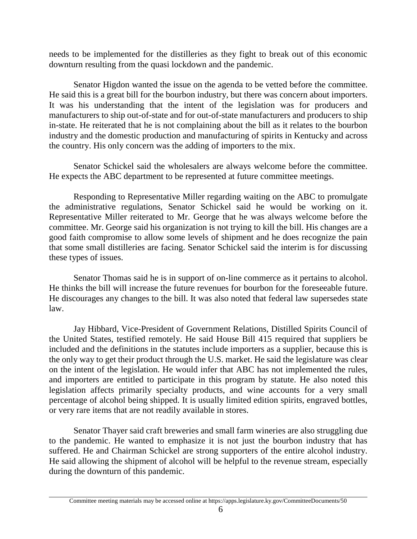needs to be implemented for the distilleries as they fight to break out of this economic downturn resulting from the quasi lockdown and the pandemic.

Senator Higdon wanted the issue on the agenda to be vetted before the committee. He said this is a great bill for the bourbon industry, but there was concern about importers. It was his understanding that the intent of the legislation was for producers and manufacturers to ship out-of-state and for out-of-state manufacturers and producers to ship in-state. He reiterated that he is not complaining about the bill as it relates to the bourbon industry and the domestic production and manufacturing of spirits in Kentucky and across the country. His only concern was the adding of importers to the mix.

Senator Schickel said the wholesalers are always welcome before the committee. He expects the ABC department to be represented at future committee meetings.

Responding to Representative Miller regarding waiting on the ABC to promulgate the administrative regulations, Senator Schickel said he would be working on it. Representative Miller reiterated to Mr. George that he was always welcome before the committee. Mr. George said his organization is not trying to kill the bill. His changes are a good faith compromise to allow some levels of shipment and he does recognize the pain that some small distilleries are facing. Senator Schickel said the interim is for discussing these types of issues.

Senator Thomas said he is in support of on-line commerce as it pertains to alcohol. He thinks the bill will increase the future revenues for bourbon for the foreseeable future. He discourages any changes to the bill. It was also noted that federal law supersedes state law.

Jay Hibbard, Vice-President of Government Relations, Distilled Spirits Council of the United States, testified remotely. He said House Bill 415 required that suppliers be included and the definitions in the statutes include importers as a supplier, because this is the only way to get their product through the U.S. market. He said the legislature was clear on the intent of the legislation. He would infer that ABC has not implemented the rules, and importers are entitled to participate in this program by statute. He also noted this legislation affects primarily specialty products, and wine accounts for a very small percentage of alcohol being shipped. It is usually limited edition spirits, engraved bottles, or very rare items that are not readily available in stores.

Senator Thayer said craft breweries and small farm wineries are also struggling due to the pandemic. He wanted to emphasize it is not just the bourbon industry that has suffered. He and Chairman Schickel are strong supporters of the entire alcohol industry. He said allowing the shipment of alcohol will be helpful to the revenue stream, especially during the downturn of this pandemic.

Committee meeting materials may be accessed online at https://apps.legislature.ky.gov/CommitteeDocuments/50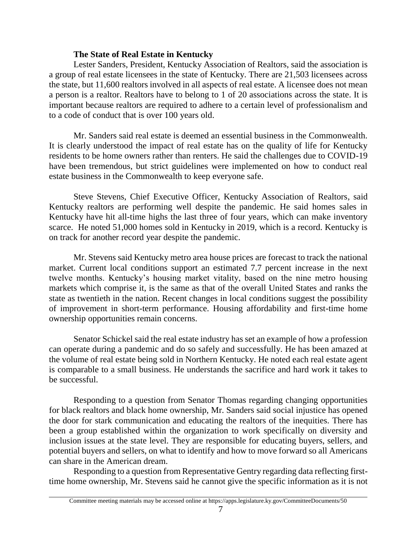## **The State of Real Estate in Kentucky**

Lester Sanders, President, Kentucky Association of Realtors, said the association is a group of real estate licensees in the state of Kentucky. There are 21,503 licensees across the state, but 11,600 realtors involved in all aspects of real estate. A licensee does not mean a person is a realtor. Realtors have to belong to 1 of 20 associations across the state. It is important because realtors are required to adhere to a certain level of professionalism and to a code of conduct that is over 100 years old.

Mr. Sanders said real estate is deemed an essential business in the Commonwealth. It is clearly understood the impact of real estate has on the quality of life for Kentucky residents to be home owners rather than renters. He said the challenges due to COVID-19 have been tremendous, but strict guidelines were implemented on how to conduct real estate business in the Commonwealth to keep everyone safe.

Steve Stevens, Chief Executive Officer, Kentucky Association of Realtors, said Kentucky realtors are performing well despite the pandemic. He said homes sales in Kentucky have hit all-time highs the last three of four years, which can make inventory scarce. He noted 51,000 homes sold in Kentucky in 2019, which is a record. Kentucky is on track for another record year despite the pandemic.

Mr. Stevens said Kentucky metro area house prices are forecast to track the national market. Current local conditions support an estimated 7.7 percent increase in the next twelve months. Kentucky's housing market vitality, based on the nine metro housing markets which comprise it, is the same as that of the overall United States and ranks the state as twentieth in the nation. Recent changes in local conditions suggest the possibility of improvement in short-term performance. Housing affordability and first-time home ownership opportunities remain concerns.

Senator Schickel said the real estate industry has set an example of how a profession can operate during a pandemic and do so safely and successfully. He has been amazed at the volume of real estate being sold in Northern Kentucky. He noted each real estate agent is comparable to a small business. He understands the sacrifice and hard work it takes to be successful.

Responding to a question from Senator Thomas regarding changing opportunities for black realtors and black home ownership, Mr. Sanders said social injustice has opened the door for stark communication and educating the realtors of the inequities. There has been a group established within the organization to work specifically on diversity and inclusion issues at the state level. They are responsible for educating buyers, sellers, and potential buyers and sellers, on what to identify and how to move forward so all Americans can share in the American dream.

Responding to a question from Representative Gentry regarding data reflecting firsttime home ownership, Mr. Stevens said he cannot give the specific information as it is not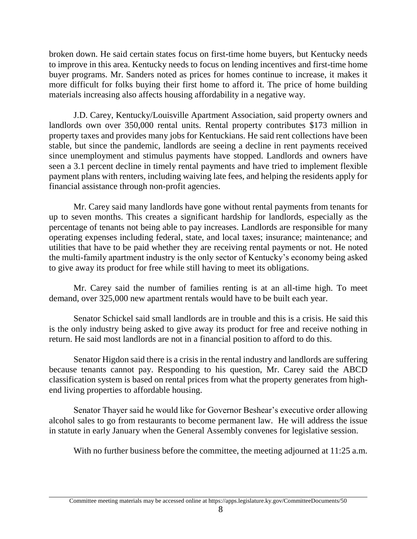broken down. He said certain states focus on first-time home buyers, but Kentucky needs to improve in this area. Kentucky needs to focus on lending incentives and first-time home buyer programs. Mr. Sanders noted as prices for homes continue to increase, it makes it more difficult for folks buying their first home to afford it. The price of home building materials increasing also affects housing affordability in a negative way.

J.D. Carey, Kentucky/Louisville Apartment Association, said property owners and landlords own over 350,000 rental units. Rental property contributes \$173 million in property taxes and provides many jobs for Kentuckians. He said rent collections have been stable, but since the pandemic, landlords are seeing a decline in rent payments received since unemployment and stimulus payments have stopped. Landlords and owners have seen a 3.1 percent decline in timely rental payments and have tried to implement flexible payment plans with renters, including waiving late fees, and helping the residents apply for financial assistance through non-profit agencies.

Mr. Carey said many landlords have gone without rental payments from tenants for up to seven months. This creates a significant hardship for landlords, especially as the percentage of tenants not being able to pay increases. Landlords are responsible for many operating expenses including federal, state, and local taxes; insurance; maintenance; and utilities that have to be paid whether they are receiving rental payments or not. He noted the multi-family apartment industry is the only sector of Kentucky's economy being asked to give away its product for free while still having to meet its obligations.

Mr. Carey said the number of families renting is at an all-time high. To meet demand, over 325,000 new apartment rentals would have to be built each year.

Senator Schickel said small landlords are in trouble and this is a crisis. He said this is the only industry being asked to give away its product for free and receive nothing in return. He said most landlords are not in a financial position to afford to do this.

Senator Higdon said there is a crisis in the rental industry and landlords are suffering because tenants cannot pay. Responding to his question, Mr. Carey said the ABCD classification system is based on rental prices from what the property generates from highend living properties to affordable housing.

Senator Thayer said he would like for Governor Beshear's executive order allowing alcohol sales to go from restaurants to become permanent law. He will address the issue in statute in early January when the General Assembly convenes for legislative session.

With no further business before the committee, the meeting adjourned at 11:25 a.m.